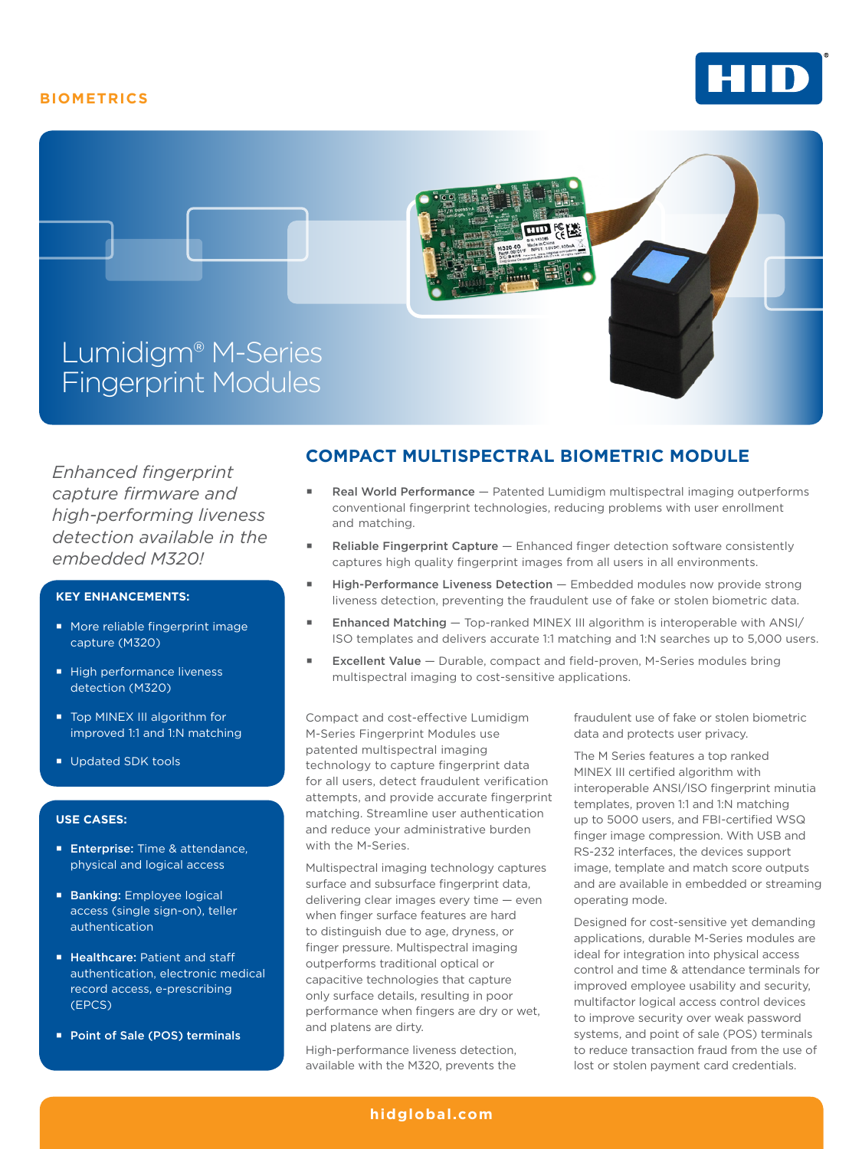# **BIOMETRICS**





*Enhanced fingerprint capture firmware and high-performing liveness detection available in the embedded M320!*

### **KEY ENHANCEMENTS:**

- More reliable fingerprint image capture (M320)
- High performance liveness detection (M320)
- Top MINEX III algorithm for improved 1:1 and 1:N matching
- Updated SDK tools

#### **USE CASES:**

- **Enterprise:** Time & attendance, physical and logical access
- **Banking:** Employee logical access (single sign-on), teller authentication
- **E** Healthcare: Patient and staff authentication, electronic medical record access, e-prescribing (EPCS)
- Point of Sale (POS) terminals

## **COMPACT MULTISPECTRAL BIOMETRIC MODULE**

- Real World Performance Patented Lumidigm multispectral imaging outperforms conventional fingerprint technologies, reducing problems with user enrollment and matching.
- Reliable Fingerprint Capture Enhanced finger detection software consistently captures high quality fingerprint images from all users in all environments.
- **E** High-Performance Liveness Detection Embedded modules now provide strong liveness detection, preventing the fraudulent use of fake or stolen biometric data.
- **Enhanced Matching Top-ranked MINEX III algorithm is interoperable with ANSI/** ISO templates and delivers accurate 1:1 matching and 1:N searches up to 5,000 users.
- **Excellent Value** Durable, compact and field-proven, M-Series modules bring multispectral imaging to cost-sensitive applications.

Compact and cost-effective Lumidigm M-Series Fingerprint Modules use patented multispectral imaging technology to capture fingerprint data for all users, detect fraudulent verification attempts, and provide accurate fingerprint matching. Streamline user authentication and reduce your administrative burden with the M-Series.

Multispectral imaging technology captures surface and subsurface fingerprint data, delivering clear images every time — even when finger surface features are hard to distinguish due to age, dryness, or finger pressure. Multispectral imaging outperforms traditional optical or capacitive technologies that capture only surface details, resulting in poor performance when fingers are dry or wet, and platens are dirty.

High-performance liveness detection, available with the M320, prevents the

fraudulent use of fake or stolen biometric data and protects user privacy.

The M Series features a top ranked MINEX III certified algorithm with interoperable ANSI/ISO fingerprint minutia templates, proven 1:1 and 1:N matching up to 5000 users, and FBI-certified WSQ finger image compression. With USB and RS-232 interfaces, the devices support image, template and match score outputs and are available in embedded or streaming operating mode.

Designed for cost-sensitive yet demanding applications, durable M-Series modules are ideal for integration into physical access control and time & attendance terminals for improved employee usability and security, multifactor logical access control devices to improve security over weak password systems, and point of sale (POS) terminals to reduce transaction fraud from the use of lost or stolen payment card credentials.